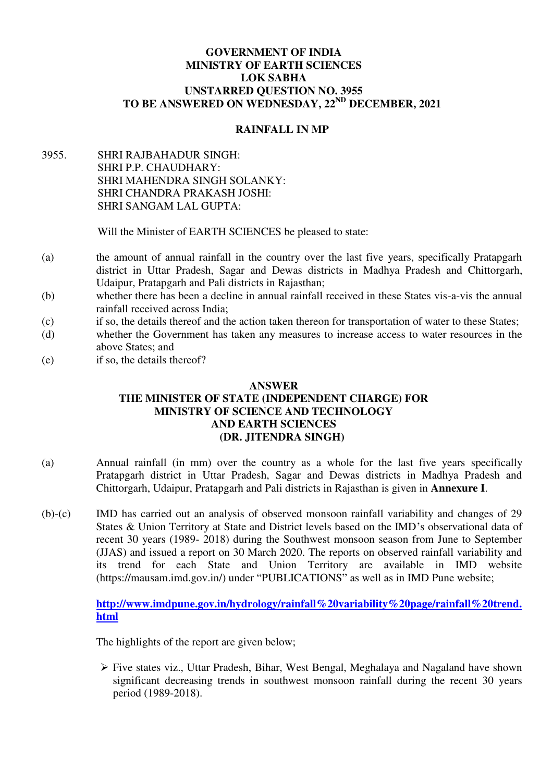### **GOVERNMENT OF INDIA MINISTRY OF EARTH SCIENCES LOK SABHA UNSTARRED QUESTION NO. 3955 TO BE ANSWERED ON WEDNESDAY, 22ND DECEMBER, 2021**

# **RAINFALL IN MP**

3955. SHRI RAJBAHADUR SINGH: SHRI P.P. CHAUDHARY: SHRI MAHENDRA SINGH SOLANKY: SHRI CHANDRA PRAKASH JOSHI: SHRI SANGAM LAL GUPTA:

Will the Minister of EARTH SCIENCES be pleased to state:

- (a) the amount of annual rainfall in the country over the last five years, specifically Pratapgarh district in Uttar Pradesh, Sagar and Dewas districts in Madhya Pradesh and Chittorgarh, Udaipur, Pratapgarh and Pali districts in Rajasthan;
- (b) whether there has been a decline in annual rainfall received in these States vis-a-vis the annual rainfall received across India;
- (c) if so, the details thereof and the action taken thereon for transportation of water to these States;
- (d) whether the Government has taken any measures to increase access to water resources in the above States; and
- (e) if so, the details thereof?

#### **ANSWER**

## **THE MINISTER OF STATE (INDEPENDENT CHARGE) FOR MINISTRY OF SCIENCE AND TECHNOLOGY AND EARTH SCIENCES (DR. JITENDRA SINGH)**

- (a) Annual rainfall (in mm) over the country as a whole for the last five years specifically Pratapgarh district in Uttar Pradesh, Sagar and Dewas districts in Madhya Pradesh and Chittorgarh, Udaipur, Pratapgarh and Pali districts in Rajasthan is given in **Annexure I**.
- (b)-(c) IMD has carried out an analysis of observed monsoon rainfall variability and changes of 29 States & Union Territory at State and District levels based on the IMD's observational data of recent 30 years (1989- 2018) during the Southwest monsoon season from June to September (JJAS) and issued a report on 30 March 2020. The reports on observed rainfall variability and its trend for each State and Union Territory are available in IMD website (https://mausam.imd.gov.in/) under "PUBLICATIONS" as well as in IMD Pune website;

**[http://www.imdpune.gov.in/hydrology/rainfall%20variability%20page/rainfall%20trend.](http://www.imdpune.gov.in/hydrology/rainfall%20variability%20page/rainfall%20trend.html) [html](http://www.imdpune.gov.in/hydrology/rainfall%20variability%20page/rainfall%20trend.html)**

The highlights of the report are given below;

 $\triangleright$  Five states viz., Uttar Pradesh, Bihar, West Bengal, Meghalaya and Nagaland have shown significant decreasing trends in southwest monsoon rainfall during the recent 30 years period (1989-2018).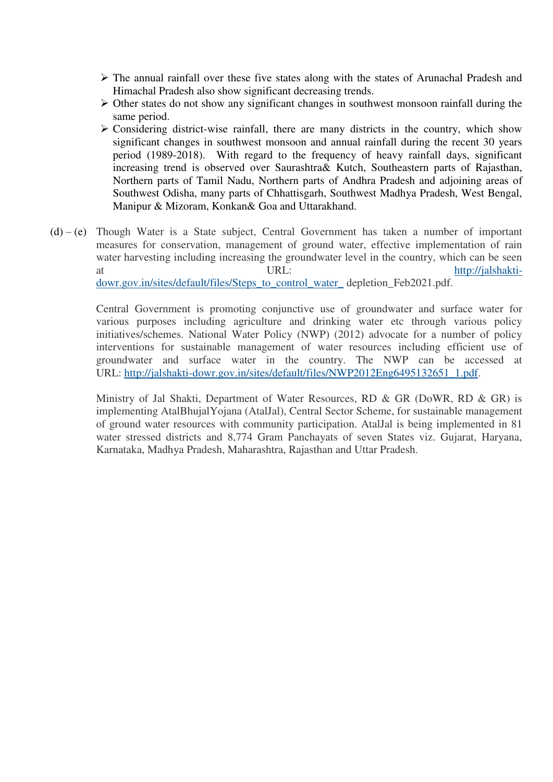- $\triangleright$  The annual rainfall over these five states along with the states of Arunachal Pradesh and Himachal Pradesh also show significant decreasing trends.
- $\triangleright$  Other states do not show any significant changes in southwest monsoon rainfall during the same period.
- $\triangleright$  Considering district-wise rainfall, there are many districts in the country, which show significant changes in southwest monsoon and annual rainfall during the recent 30 years period (1989-2018). With regard to the frequency of heavy rainfall days, significant increasing trend is observed over Saurashtra& Kutch, Southeastern parts of Rajasthan, Northern parts of Tamil Nadu, Northern parts of Andhra Pradesh and adjoining areas of Southwest Odisha, many parts of Chhattisgarh, Southwest Madhya Pradesh, West Bengal, Manipur & Mizoram, Konkan& Goa and Uttarakhand.
- $(d) (e)$  Though Water is a State subject, Central Government has taken a number of important measures for conservation, management of ground water, effective implementation of rain water harvesting including increasing the groundwater level in the country, which can be seen at URL: URL: [http://jalshakti](http://jalshakti-dowr.gov.in/sites/default/files/Steps_to_control_water_)[dowr.gov.in/sites/default/files/Steps\\_to\\_control\\_water\\_](http://jalshakti-dowr.gov.in/sites/default/files/Steps_to_control_water_) depletion\_Feb2021.pdf.

Central Government is promoting conjunctive use of groundwater and surface water for various purposes including agriculture and drinking water etc through various policy initiatives/schemes. National Water Policy (NWP) (2012) advocate for a number of policy interventions for sustainable management of water resources including efficient use of groundwater and surface water in the country. The NWP can be accessed at URL: [http://jalshakti-dowr.gov.in/sites/default/files/NWP2012Eng6495132651\\_1.pdf.](http://jalshakti-dowr.gov.in/sites/default/files/NWP2012Eng6495132651_1.pdf)

Ministry of Jal Shakti, Department of Water Resources, RD & GR (DoWR, RD & GR) is implementing AtalBhujalYojana (AtalJal), Central Sector Scheme, for sustainable management of ground water resources with community participation. AtalJal is being implemented in 81 water stressed districts and 8,774 Gram Panchayats of seven States viz. Gujarat, Haryana, Karnataka, Madhya Pradesh, Maharashtra, Rajasthan and Uttar Pradesh.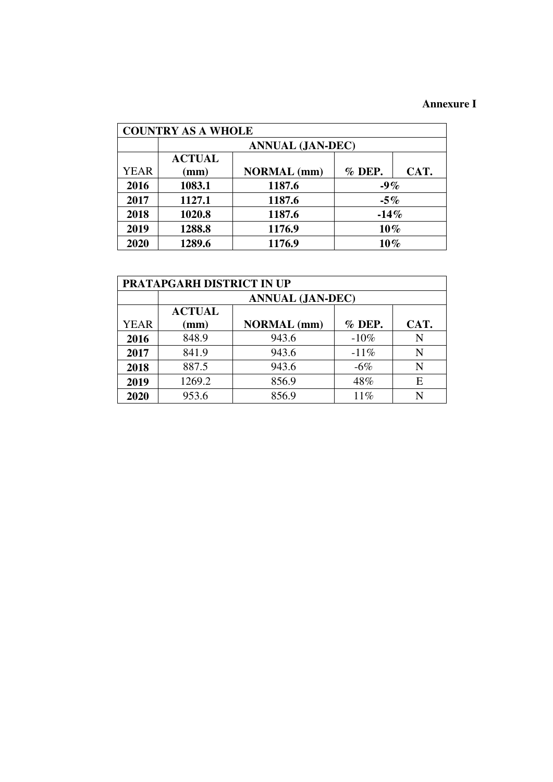## **Annexure I**

| <b>COUNTRY AS A WHOLE</b> |                         |                    |        |      |  |  |  |  |  |  |  |  |
|---------------------------|-------------------------|--------------------|--------|------|--|--|--|--|--|--|--|--|
|                           | <b>ANNUAL (JAN-DEC)</b> |                    |        |      |  |  |  |  |  |  |  |  |
|                           | <b>ACTUAL</b>           |                    |        |      |  |  |  |  |  |  |  |  |
| <b>YEAR</b>               | (mm)                    | <b>NORMAL</b> (mm) | % DEP. | CAT. |  |  |  |  |  |  |  |  |
| 2016                      | 1083.1                  | 1187.6             | $-9%$  |      |  |  |  |  |  |  |  |  |
| 2017                      | 1127.1                  | 1187.6             | $-5%$  |      |  |  |  |  |  |  |  |  |
| 2018                      | 1020.8                  | 1187.6             | $-14%$ |      |  |  |  |  |  |  |  |  |
| 2019                      | 1288.8                  | 1176.9             | $10\%$ |      |  |  |  |  |  |  |  |  |
| 2020                      | 1289.6                  | 1176.9             | $10\%$ |      |  |  |  |  |  |  |  |  |

| <b>PRATAPGARH DISTRICT IN UP</b> |                         |                    |        |      |  |  |  |  |  |  |  |  |
|----------------------------------|-------------------------|--------------------|--------|------|--|--|--|--|--|--|--|--|
|                                  | <b>ANNUAL (JAN-DEC)</b> |                    |        |      |  |  |  |  |  |  |  |  |
|                                  | <b>ACTUAL</b>           |                    |        |      |  |  |  |  |  |  |  |  |
| YEAR                             | (mm)                    | <b>NORMAL</b> (mm) | % DEP. | CAT. |  |  |  |  |  |  |  |  |
| 2016                             | 848.9                   | 943.6              | $-10%$ | N    |  |  |  |  |  |  |  |  |
| 2017                             | 841.9                   | 943.6              | $-11%$ | N    |  |  |  |  |  |  |  |  |
| 2018                             | 887.5                   | 943.6              | $-6\%$ | N    |  |  |  |  |  |  |  |  |
| 2019                             | 1269.2                  | 856.9              | 48%    | E    |  |  |  |  |  |  |  |  |
| 2020                             | 953.6                   | 856.9              | 11%    |      |  |  |  |  |  |  |  |  |